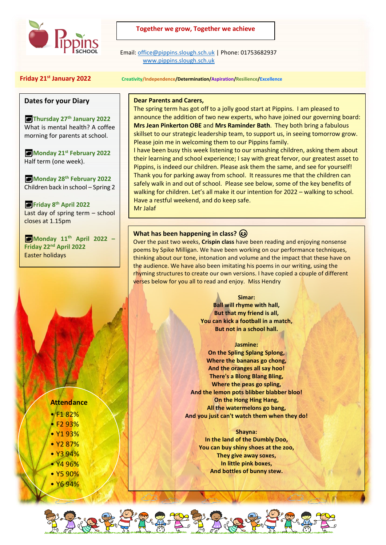

## **Together we grow, Together we achieve**

 Email[: office@pippins.slough.sch.uk](mailto:office@pippins.slough.sch.uk) | Phone: 01753682937 [www.pippins.slough.sch.uk](http://www.pippins.slough.sch.uk/)

# **Friday 21st January 2022 Creativity/Independence/Determination/Aspiration/Resilience/Excellence**

## **Dates for your Diary**

**Thursday 27th January 2022** What is mental health? A coffee morning for parents at school.

**Monday 21st February 2022** Half term (one week).

**Monday 28th February 2022** Children back in school – Spring 2

**Friday 8th April 2022** Last day of spring term – school closes at 1.15pm

**Monday 11th April 2022 – Friday 22nd April 2022** Easter holidays

### **Dear Parents and Carers,**

The spring term has got off to a jolly good start at Pippins. I am pleased to announce the addition of two new experts, who have joined our governing board: **Mrs Jean Pinkerton OBE** and **Mrs Raminder Bath**. They both bring a fabulous skillset to our strategic leadership team, to support us, in seeing tomorrow grow. Please join me in welcoming them to our Pippins family.

I have been busy this week listening to our smashing children, asking them about their learning and school experience; I say with great fervor, our greatest asset to Pippins, is indeed our children. Please ask them the same, and see for yourself! Thank you for parking away from school. It reassures me that the children can safely walk in and out of school. Please see below, some of the key benefits of walking for children. Let's all make it our intention for 2022 – walking to school. Have a restful weekend, and do keep safe. Mr Jalaf

## **What has been happening in class?**  $\circled{e}$

Over the past two weeks, **Crispin class** have been reading and enjoying nonsense poems by Spike Milligan. We have been working on our performance techniques, thinking about our tone, intonation and volume and the impact that these have on the audience. We have also been imitating his poems in our writing, using the rhyming structures to create our own versions. I have copied a couple of different verses below for you all to read and enjoy. Miss Hendry

#### **Simar:**

**Ball will rhyme with hall, But that my friend is all, You can kick a football in a match, But not in a school hall.**

#### **Jasmine:**

**On the Spling Splang Splong, Where the bananas go chong, And the oranges all say hoo! There's a Blong Blang Bling, Where the peas go spling, And the lemon pots blibber blabber bloo! On the Hong Hing Hang, All the watermelons go bang, And you just can't watch them when they do!**

#### **Shayna:**

**In the land of the Dumbly Doo, You can buy shiny shoes at the zoo, They give away soxes, In little pink boxes, And bottles of bunny stew.**

# **Attendance**

- F1 82%
- F2 93%
- Y1 93%
- Y2 87%
- Y3 94% • Y4 96%
- Y5 90%
- Y6 94%